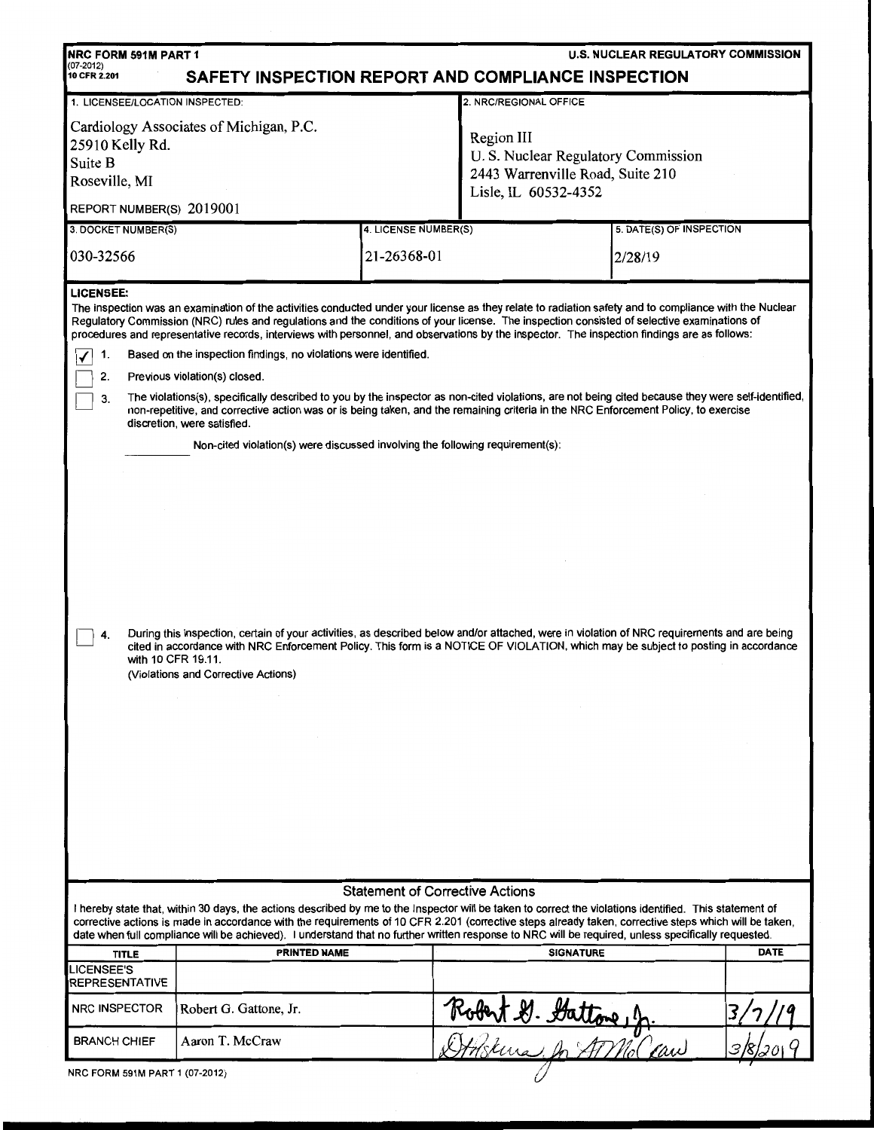| <b>NRC FORM 591M PART 1</b>                                                                                                                                                                                                                                                                                                                                                                                                                                               |                                                                                                                                                                                                                                                                                                                        |                                        |                                                                                                              | <b>U.S. NUCLEAR REGULATORY COMMISSION</b> |             |  |  |  |
|---------------------------------------------------------------------------------------------------------------------------------------------------------------------------------------------------------------------------------------------------------------------------------------------------------------------------------------------------------------------------------------------------------------------------------------------------------------------------|------------------------------------------------------------------------------------------------------------------------------------------------------------------------------------------------------------------------------------------------------------------------------------------------------------------------|----------------------------------------|--------------------------------------------------------------------------------------------------------------|-------------------------------------------|-------------|--|--|--|
| $(07-2012)$<br>SAFETY INSPECTION REPORT AND COMPLIANCE INSPECTION<br>10 CFR 2.201                                                                                                                                                                                                                                                                                                                                                                                         |                                                                                                                                                                                                                                                                                                                        |                                        |                                                                                                              |                                           |             |  |  |  |
| 2. NRC/REGIONAL OFFICE<br>1. LICENSEE/LOCATION INSPECTED:                                                                                                                                                                                                                                                                                                                                                                                                                 |                                                                                                                                                                                                                                                                                                                        |                                        |                                                                                                              |                                           |             |  |  |  |
| Cardiology Associates of Michigan, P.C.<br>25910 Kelly Rd.<br>Suite B<br>Roseville, MI                                                                                                                                                                                                                                                                                                                                                                                    |                                                                                                                                                                                                                                                                                                                        |                                        | Region III<br>U.S. Nuclear Regulatory Commission<br>2443 Warrenville Road, Suite 210<br>Lisle, IL 60532-4352 |                                           |             |  |  |  |
| REPORT NUMBER(S) 2019001                                                                                                                                                                                                                                                                                                                                                                                                                                                  |                                                                                                                                                                                                                                                                                                                        |                                        |                                                                                                              |                                           |             |  |  |  |
| 3. DOCKET NUMBER(S)                                                                                                                                                                                                                                                                                                                                                                                                                                                       |                                                                                                                                                                                                                                                                                                                        | 4. LICENSE NUMBER(S)                   |                                                                                                              | 5. DATE(S) OF INSPECTION                  |             |  |  |  |
| 030-32566                                                                                                                                                                                                                                                                                                                                                                                                                                                                 |                                                                                                                                                                                                                                                                                                                        | 21-26368-01                            | 2/28/19                                                                                                      |                                           |             |  |  |  |
| <b>LICENSEE:</b><br>The inspection was an examination of the activities conducted under your license as they relate to radiation safety and to compliance with the Nuclear<br>Regulatory Commission (NRC) rules and regulations and the conditions of your license. The inspection consisted of selective examinations of<br>procedures and representative records, interviews with personnel, and observations by the inspector. The inspection findings are as follows: |                                                                                                                                                                                                                                                                                                                        |                                        |                                                                                                              |                                           |             |  |  |  |
| 1.                                                                                                                                                                                                                                                                                                                                                                                                                                                                        | Based on the inspection findings, no violations were identified.                                                                                                                                                                                                                                                       |                                        |                                                                                                              |                                           |             |  |  |  |
| 2.                                                                                                                                                                                                                                                                                                                                                                                                                                                                        | Previous violation(s) closed.                                                                                                                                                                                                                                                                                          |                                        |                                                                                                              |                                           |             |  |  |  |
| 3.                                                                                                                                                                                                                                                                                                                                                                                                                                                                        | The violations(s), specifically described to you by the inspector as non-cited violations, are not being cited because they were self-identified,<br>non-repetitive, and corrective action was or is being taken, and the remaining criteria in the NRC Enforcement Policy, to exercise<br>discretion, were satisfied. |                                        |                                                                                                              |                                           |             |  |  |  |
|                                                                                                                                                                                                                                                                                                                                                                                                                                                                           | Non-cited violation(s) were discussed involving the following requirement(s):                                                                                                                                                                                                                                          |                                        |                                                                                                              |                                           |             |  |  |  |
| During this inspection, certain of your activities, as described below and/or attached, were in violation of NRC requirements and are being<br>4.<br>cited in accordance with NRC Enforcement Policy. This form is a NOTICE OF VIOLATION, which may be subject to posting in accordance<br>with 10 CFR 19.11.<br>(Violations and Corrective Actions)                                                                                                                      |                                                                                                                                                                                                                                                                                                                        |                                        |                                                                                                              |                                           |             |  |  |  |
|                                                                                                                                                                                                                                                                                                                                                                                                                                                                           |                                                                                                                                                                                                                                                                                                                        | <b>Statement of Corrective Actions</b> |                                                                                                              |                                           |             |  |  |  |
| I hereby state that, within 30 days, the actions described by me to the Inspector will be taken to correct the violations identified. This statement of<br>corrective actions is made in accordance with the requirements of 10 CFR 2.201 (corrective steps already taken, corrective steps which will be taken,<br>date when full compliance will be achieved). I understand that no further written response to NRC will be required, unless specifically requested.    |                                                                                                                                                                                                                                                                                                                        |                                        |                                                                                                              |                                           |             |  |  |  |
| <b>TITLE</b>                                                                                                                                                                                                                                                                                                                                                                                                                                                              | PRINTED NAME                                                                                                                                                                                                                                                                                                           |                                        | <b>SIGNATURE</b>                                                                                             |                                           | <b>DATE</b> |  |  |  |
| <b>LICENSEE'S</b><br>REPRESENTATIVE                                                                                                                                                                                                                                                                                                                                                                                                                                       |                                                                                                                                                                                                                                                                                                                        |                                        |                                                                                                              |                                           |             |  |  |  |
| <b>NRC INSPECTOR</b>                                                                                                                                                                                                                                                                                                                                                                                                                                                      | Robert G. Gattone, Jr.                                                                                                                                                                                                                                                                                                 |                                        |                                                                                                              |                                           |             |  |  |  |
| <b>BRANCH CHIEF</b>                                                                                                                                                                                                                                                                                                                                                                                                                                                       | Aaron T. McCraw                                                                                                                                                                                                                                                                                                        |                                        | Robert D. Dattone, J.                                                                                        |                                           |             |  |  |  |
| NRC FORM 591M PART 1 (07-2012)                                                                                                                                                                                                                                                                                                                                                                                                                                            |                                                                                                                                                                                                                                                                                                                        |                                        |                                                                                                              |                                           |             |  |  |  |